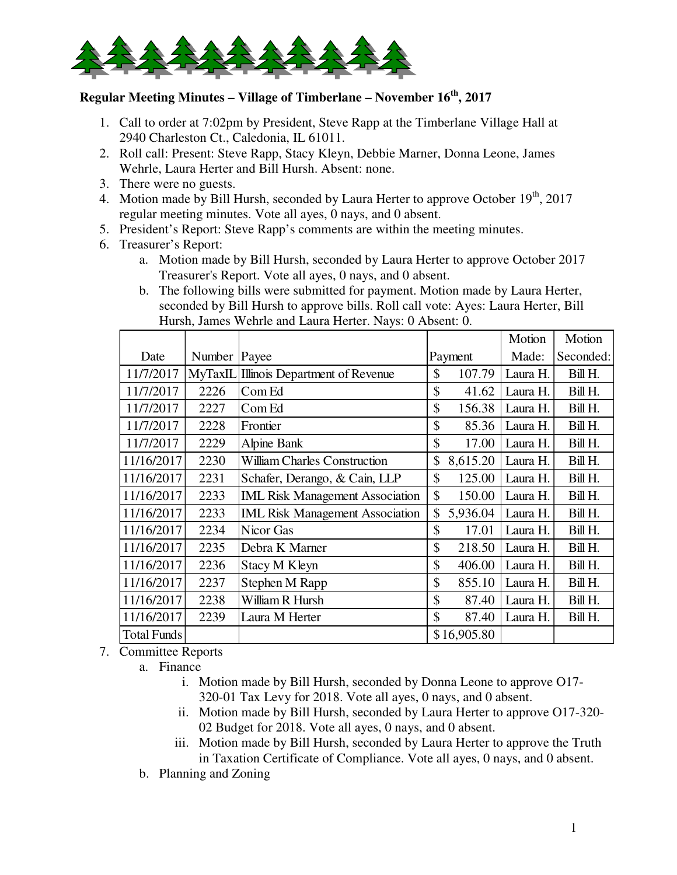

## **Regular Meeting Minutes – Village of Timberlane – November 16th, 2017**

- 1. Call to order at 7:02pm by President, Steve Rapp at the Timberlane Village Hall at 2940 Charleston Ct., Caledonia, IL 61011.
- 2. Roll call: Present: Steve Rapp, Stacy Kleyn, Debbie Marner, Donna Leone, James Wehrle, Laura Herter and Bill Hursh. Absent: none.
- 3. There were no guests.
- 4. Motion made by Bill Hursh, seconded by Laura Herter to approve October  $19<sup>th</sup>$ , 2017 regular meeting minutes. Vote all ayes, 0 nays, and 0 absent.
- 5. President's Report: Steve Rapp's comments are within the meeting minutes.
- 6. Treasurer's Report:
	- a. Motion made by Bill Hursh, seconded by Laura Herter to approve October 2017 Treasurer's Report. Vote all ayes, 0 nays, and 0 absent.
	- b. The following bills were submitted for payment. Motion made by Laura Herter, seconded by Bill Hursh to approve bills. Roll call vote: Ayes: Laura Herter, Bill Hursh, James Wehrle and Laura Herter. Nays: 0 Absent: 0.

|             |                |                                        |                | Motion   | Motion    |
|-------------|----------------|----------------------------------------|----------------|----------|-----------|
| Date        | Number   Payee |                                        | Payment        | Made:    | Seconded: |
| 11/7/2017   |                | MyTaxIL Illinois Department of Revenue | \$<br>107.79   | Laura H. | Bill H.   |
| 11/7/2017   | 2226           | Com Ed                                 | \$<br>41.62    | Laura H. | Bill H.   |
| 11/7/2017   | 2227           | Com Ed                                 | \$<br>156.38   | Laura H. | Bill H.   |
| 11/7/2017   | 2228           | Frontier                               | \$<br>85.36    | Laura H. | Bill H.   |
| 11/7/2017   | 2229           | <b>Alpine Bank</b>                     | \$<br>17.00    | Laura H. | Bill H.   |
| 11/16/2017  | 2230           | <b>William Charles Construction</b>    | \$<br>8,615.20 | Laura H. | Bill H.   |
| 11/16/2017  | 2231           | Schafer, Derango, & Cain, LLP          | \$<br>125.00   | Laura H. | Bill H.   |
| 11/16/2017  | 2233           | <b>IML Risk Management Association</b> | \$<br>150.00   | Laura H. | Bill H.   |
| 11/16/2017  | 2233           | <b>IML Risk Management Association</b> | \$<br>5,936.04 | Laura H. | Bill H.   |
| 11/16/2017  | 2234           | Nicor Gas                              | \$<br>17.01    | Laura H. | Bill H.   |
| 11/16/2017  | 2235           | Debra K Marner                         | \$<br>218.50   | Laura H. | Bill H.   |
| 11/16/2017  | 2236           | Stacy M Kleyn                          | \$<br>406.00   | Laura H. | Bill H.   |
| 11/16/2017  | 2237           | Stephen M Rapp                         | \$<br>855.10   | Laura H. | Bill H.   |
| 11/16/2017  | 2238           | William R Hursh                        | \$<br>87.40    | Laura H. | Bill H.   |
| 11/16/2017  | 2239           | Laura M Herter                         | \$<br>87.40    | Laura H. | Bill H.   |
| Total Funds |                |                                        | \$16,905.80    |          |           |

7. Committee Reports

a. Finance

- i. Motion made by Bill Hursh, seconded by Donna Leone to approve O17- 320-01 Tax Levy for 2018. Vote all ayes, 0 nays, and 0 absent.
- ii. Motion made by Bill Hursh, seconded by Laura Herter to approve O17-320- 02 Budget for 2018. Vote all ayes, 0 nays, and 0 absent.
- iii. Motion made by Bill Hursh, seconded by Laura Herter to approve the Truth in Taxation Certificate of Compliance. Vote all ayes, 0 nays, and 0 absent.

b. Planning and Zoning